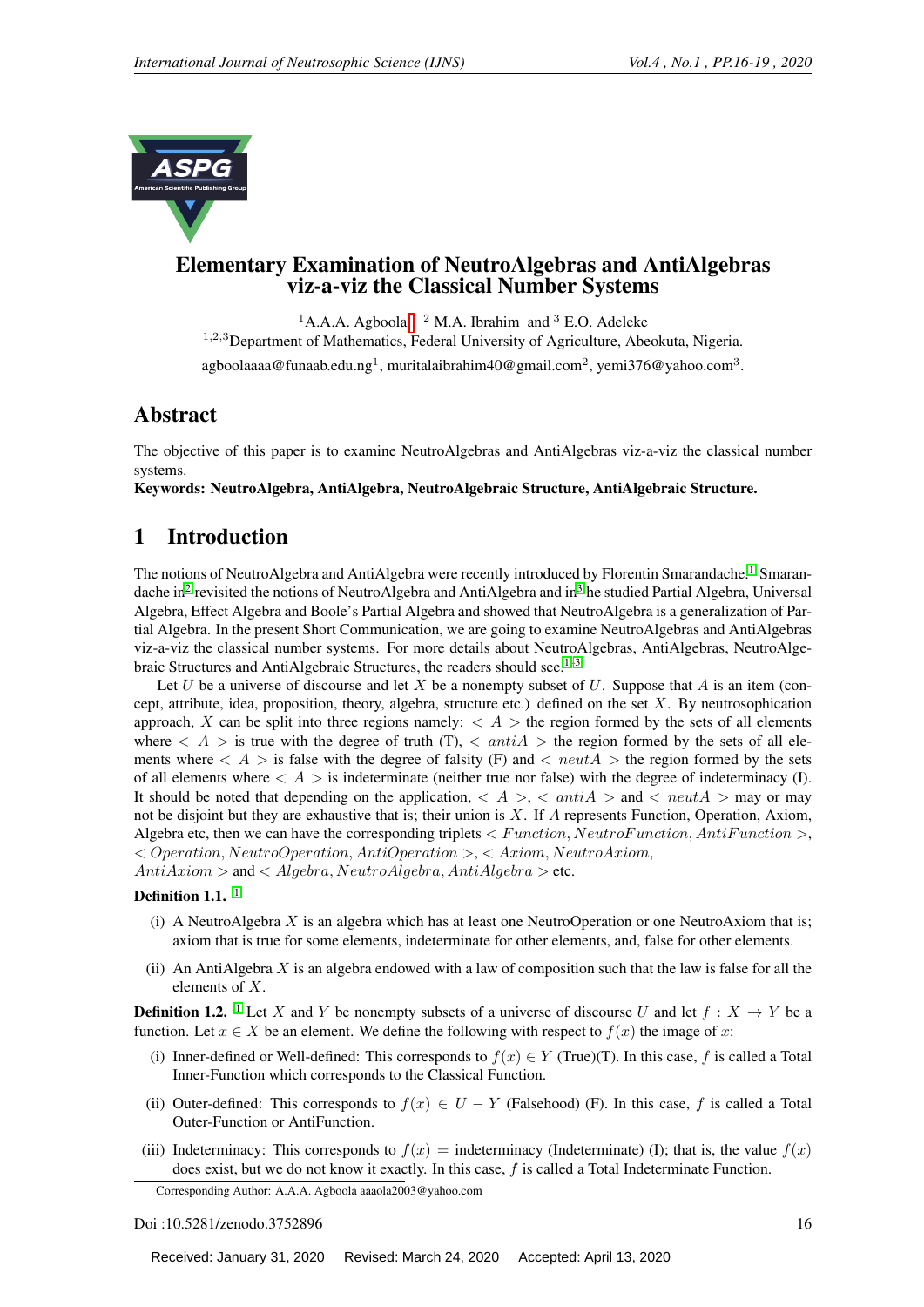

#### Elementary Examination of NeutroAlgebras and AntiAlgebras viz-a-viz the Classical Number Systems

<sup>1</sup>A.A.A. Agboola [,](#page-0-0) <sup>2</sup> M.A. Ibrahim and <sup>3</sup> E.O. Adeleke <sup>1,2,3</sup>Department of Mathematics, Federal University of Agriculture, Abeokuta, Nigeria. agboolaaaa@funaab.edu.ng<sup>1</sup>, muritalaibrahim40@gmail.com<sup>2</sup>, yemi376@yahoo.com<sup>3</sup>.

#### Abstract

The objective of this paper is to examine NeutroAlgebras and AntiAlgebras viz-a-viz the classical number systems.

Keywords: NeutroAlgebra, AntiAlgebra, NeutroAlgebraic Structure, AntiAlgebraic Structure.

## 1 Introduction

The notions of NeutroAlgebra and AntiAlgebra were recently introduced by Florentin Smarandache.<sup>[1](#page-3-0)</sup> Smaran-dache in<sup>[2](#page-3-1)</sup> revisited the notions of NeutroAlgebra and AntiAlgebra and in<sup>[3](#page-3-2)</sup> he studied Partial Algebra, Universal Algebra, Effect Algebra and Boole's Partial Algebra and showed that NeutroAlgebra is a generalization of Partial Algebra. In the present Short Communication, we are going to examine NeutroAlgebras and AntiAlgebras viz-a-viz the classical number systems. For more details about NeutroAlgebras, AntiAlgebras, NeutroAlge-braic Structures and AntiAlgebraic Structures, the readers should see.<sup>[1–](#page-3-0)[3](#page-3-2)</sup>

Let U be a universe of discourse and let X be a nonempty subset of U. Suppose that A is an item (concept, attribute, idea, proposition, theory, algebra, structure etc.) defined on the set  $X$ . By neutrosophication approach, X can be split into three regions namely:  $\langle A \rangle$  the region formed by the sets of all elements where  $\langle A \rangle$  is true with the degree of truth (T),  $\langle antiA \rangle$  the region formed by the sets of all elements where  $\langle A \rangle$  is false with the degree of falsity (F) and  $\langle new; A \rangle$  the region formed by the sets of all elements where  $\langle A \rangle$  is indeterminate (neither true nor false) with the degree of indeterminacy (I). It should be noted that depending on the application,  $\langle A \rangle$ ,  $\langle ah|A \rangle$  and  $\langle~neutA \rangle$  may or may not be disjoint but they are exhaustive that is; their union is  $X$ . If  $A$  represents Function, Operation, Axiom, Algebra etc, then we can have the corresponding triplets  $\langle Function, NewtonFunction, AntifFunction \rangle,$ < Operation, NeutroOperation, AntiOperation >, < Axiom, NeutroAxiom,

 $AntiAxiom >$  and  $\langle$  Algebra, NeutroAlgebra, AntiAlgebra  $>$  etc.

#### Definition [1](#page-3-0).1.  $<sup>1</sup>$ </sup>

- (i) A NeutroAlgebra X is an algebra which has at least one NeutroOperation or one NeutroAxiom that is; axiom that is true for some elements, indeterminate for other elements, and, false for other elements.
- (ii) An AntiAlgebra  $X$  is an algebra endowed with a law of composition such that the law is false for all the elements of X.

**Definition [1](#page-3-0).2.** <sup>1</sup> Let X and Y be nonempty subsets of a universe of discourse U and let  $f : X \to Y$  be a function. Let  $x \in X$  be an element. We define the following with respect to  $f(x)$  the image of x:

- (i) Inner-defined or Well-defined: This corresponds to  $f(x) \in Y$  (True)(T). In this case, f is called a Total Inner-Function which corresponds to the Classical Function.
- (ii) Outer-defined: This corresponds to  $f(x) \in U Y$  (Falsehood) (F). In this case, f is called a Total Outer-Function or AntiFunction.
- (iii) Indeterminacy: This corresponds to  $f(x)$  = indeterminacy (Indeterminate) (I); that is, the value  $f(x)$ does exist, but we do not know it exactly. In this case, f is called a Total Indeterminate Function.

<span id="page-0-0"></span>Corresponding Author: A.A.A. Agboola aaaola2003@yahoo.com

Doi :10.5281/zenodo.3752896 16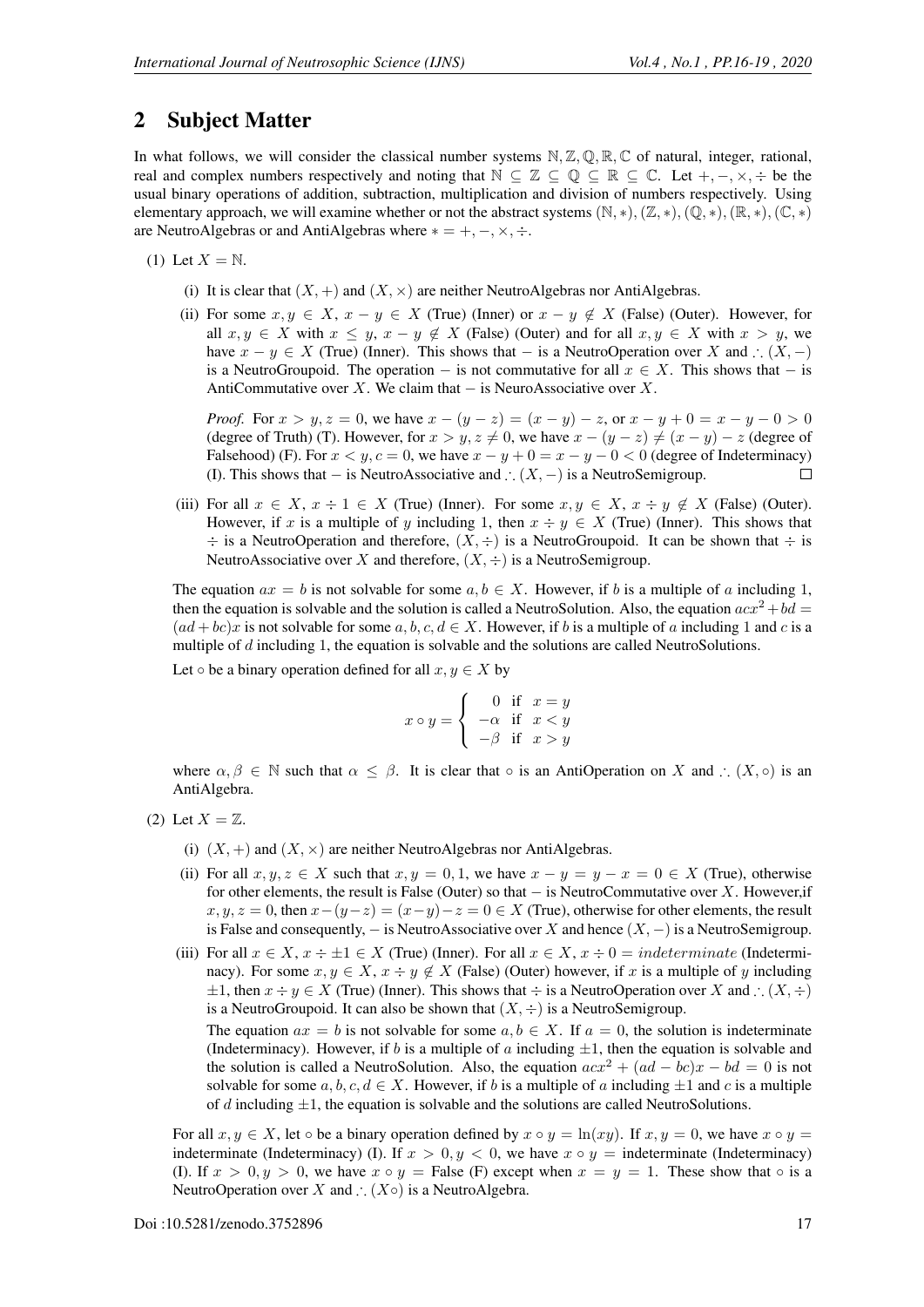### 2 Subject Matter

In what follows, we will consider the classical number systems  $N, \mathbb{Z}, \mathbb{Q}, \mathbb{R}, \mathbb{C}$  of natural, integer, rational, real and complex numbers respectively and noting that  $\mathbb{N} \subseteq \mathbb{Z} \subseteq \mathbb{Q} \subseteq \mathbb{R} \subseteq \mathbb{C}$ . Let  $+,-, \times, \div$  be the usual binary operations of addition, subtraction, multiplication and division of numbers respectively. Using elementary approach, we will examine whether or not the abstract systems  $(\mathbb{N}, *), (\mathbb{Z}, *), (\mathbb{Q}, *), (\mathbb{R}, *), (\mathbb{C}, *)$ are NeutroAlgebras or and AntiAlgebras where  $* = +, -, \times, \div$ .

(1) Let  $X = N$ .

- (i) It is clear that  $(X, +)$  and  $(X, \times)$  are neither NeutroAlgebras nor AntiAlgebras.
- (ii) For some  $x, y \in X$ ,  $x y \in X$  (True) (Inner) or  $x y \notin X$  (False) (Outer). However, for all  $x, y \in X$  with  $x \leq y, x - y \notin X$  (False) (Outer) and for all  $x, y \in X$  with  $x > y$ , we have  $x - y \in X$  (True) (Inner). This shows that – is a NeutroOperation over X and ∴  $(X, -)$ is a NeutroGroupoid. The operation – is not commutative for all  $x \in X$ . This shows that – is AntiCommutative over X. We claim that  $-$  is NeuroAssociative over X.

*Proof.* For  $x > y, z = 0$ , we have  $x - (y - z) = (x - y) - z$ , or  $x - y + 0 = x - y - 0 > 0$ (degree of Truth) (T). However, for  $x > y$ ,  $z \neq 0$ , we have  $x - (y - z) \neq (x - y) - z$  (degree of Falsehood) (F). For  $x < y$ ,  $c = 0$ , we have  $x - y + 0 = x - y - 0 < 0$  (degree of Indeterminacy) (I). This shows that  $-$  is NeutroAssociative and  $\therefore$   $(X, -)$  is a NeutroSemigroup.

(iii) For all  $x \in X$ ,  $x \div 1 \in X$  (True) (Inner). For some  $x, y \in X$ ,  $x \div y \notin X$  (False) (Outer). However, if x is a multiple of y including 1, then  $x \div y \in X$  (True) (Inner). This shows that  $\div$  is a NeutroOperation and therefore,  $(X, \div)$  is a NeutroGroupoid. It can be shown that  $\div$  is NeutroAssociative over X and therefore,  $(X, \div)$  is a NeutroSemigroup.

The equation  $ax = b$  is not solvable for some  $a, b \in X$ . However, if b is a multiple of a including 1, then the equation is solvable and the solution is called a NeutroSolution. Also, the equation  $acx^2 + bd =$  $(ad + bc)x$  is not solvable for some a, b, c,  $d \in X$ . However, if b is a multiple of a including 1 and c is a multiple of  $d$  including 1, the equation is solvable and the solutions are called NeutroSolutions.

Let  $\circ$  be a binary operation defined for all  $x, y \in X$  by

$$
x \circ y = \begin{cases} 0 & \text{if } x = y \\ -\alpha & \text{if } x < y \\ -\beta & \text{if } x > y \end{cases}
$$

where  $\alpha, \beta \in \mathbb{N}$  such that  $\alpha \leq \beta$ . It is clear that  $\circ$  is an AntiOperation on X and ∴  $(X, \circ)$  is an AntiAlgebra.

- (2) Let  $X = \mathbb{Z}$ .
	- (i)  $(X, +)$  and  $(X, \times)$  are neither NeutroAlgebras nor AntiAlgebras.
	- (ii) For all  $x, y, z \in X$  such that  $x, y = 0, 1$ , we have  $x y = y x = 0 \in X$  (True), otherwise for other elements, the result is False (Outer) so that  $-$  is NeutroCommutative over X. However, if  $x, y, z = 0$ , then  $x-(y-z) = (x-y)-z = 0 \in X$  (True), otherwise for other elements, the result is False and consequently,  $-$  is NeutroAssociative over X and hence  $(X, -)$  is a NeutroSemigroup.
	- (iii) For all  $x \in X$ ,  $x \div \pm 1 \in X$  (True) (Inner). For all  $x \in X$ ,  $x \div 0 = indeterminate$  (Indeterminacy). For some  $x, y \in X$ ,  $x \div y \notin X$  (False) (Outer) however, if x is a multiple of y including  $\pm 1$ , then  $x \div y \in X$  (True) (Inner). This shows that  $\div$  is a NeutroOperation over X and ∴  $(X, \div)$ is a NeutroGroupoid. It can also be shown that  $(X, \div)$  is a NeutroSemigroup.

The equation  $ax = b$  is not solvable for some  $a, b \in X$ . If  $a = 0$ , the solution is indeterminate (Indeterminacy). However, if b is a multiple of a including  $\pm 1$ , then the equation is solvable and the solution is called a NeutroSolution. Also, the equation  $acx^2 + (ad - bc)x - bd = 0$  is not solvable for some  $a, b, c, d \in X$ . However, if b is a multiple of a including  $\pm 1$  and c is a multiple of d including  $\pm 1$ , the equation is solvable and the solutions are called NeutroSolutions.

For all  $x, y \in X$ , let ∘ be a binary operation defined by  $x \circ y = \ln(xy)$ . If  $x, y = 0$ , we have  $x \circ y =$ indeterminate (Indeterminacy) (I). If  $x > 0, y < 0$ , we have  $x \circ y =$  indeterminate (Indeterminacy) (I). If  $x > 0, y > 0$ , we have  $x \circ y =$  False (F) except when  $x = y = 1$ . These show that  $\circ$  is a NeutroOperation over X and ∴  $(X \circ)$  is a NeutroAlgebra.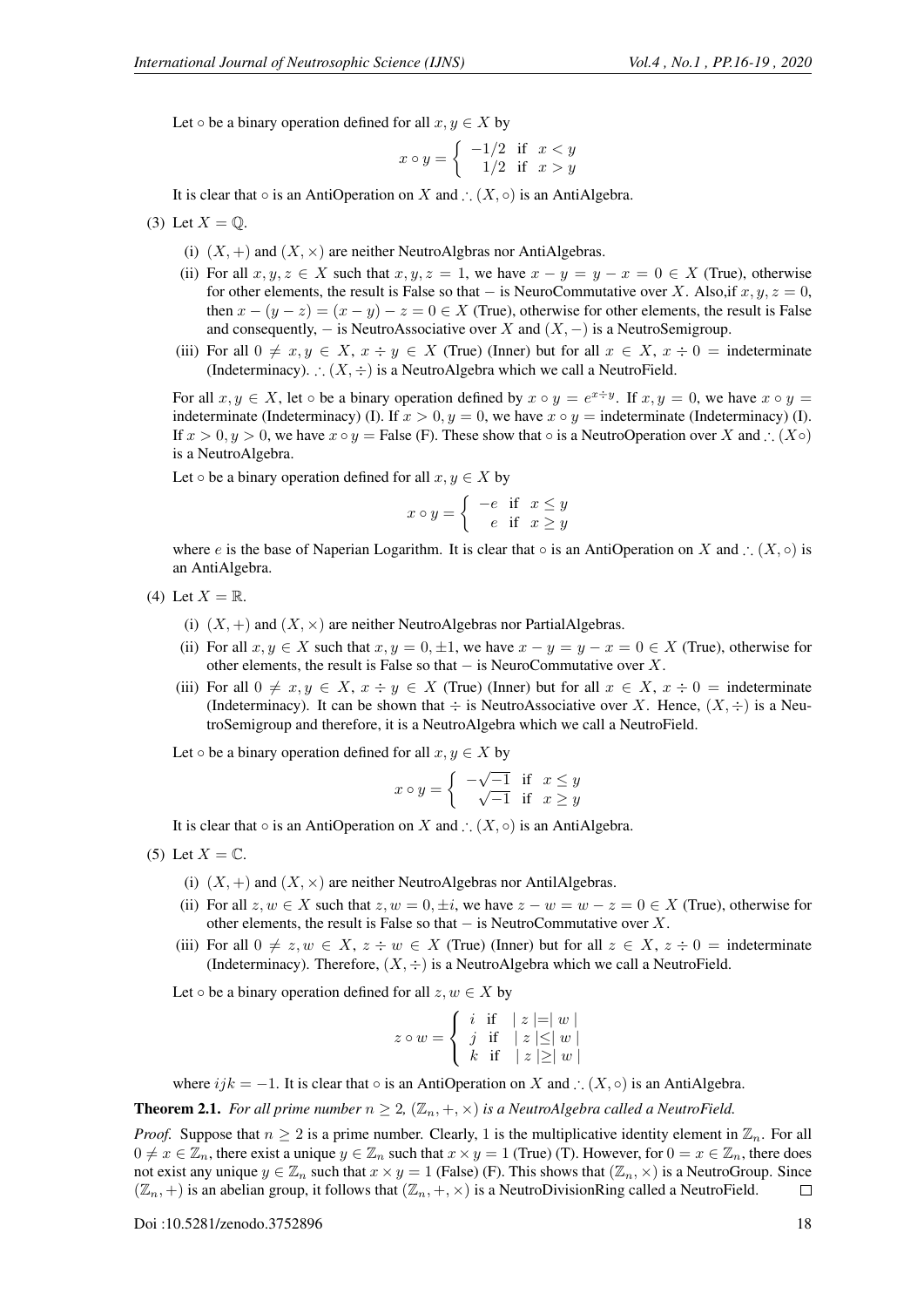Let  $\circ$  be a binary operation defined for all  $x, y \in X$  by

$$
x \circ y = \begin{cases} -1/2 & \text{if } x < y \\ 1/2 & \text{if } x > y \end{cases}
$$

It is clear that  $\circ$  is an AntiOperation on X and ∴  $(X, \circ)$  is an AntiAlgebra.

(3) Let 
$$
X = \mathbb{Q}
$$
.

- (i)  $(X, +)$  and  $(X, \times)$  are neither NeutroAlgbras nor AntiAlgebras.
- (ii) For all  $x, y, z \in X$  such that  $x, y, z = 1$ , we have  $x y = y x = 0 \in X$  (True), otherwise for other elements, the result is False so that – is NeuroCommutative over X. Also, if  $x, y, z = 0$ , then  $x - (y - z) = (x - y) - z = 0 \in X$  (True), otherwise for other elements, the result is False and consequently,  $-$  is NeutroAssociative over X and  $(X, -)$  is a NeutroSemigroup.
- (iii) For all  $0 \neq x, y \in X$ ,  $x \div y \in X$  (True) (Inner) but for all  $x \in X$ ,  $x \div 0 =$  indeterminate (Indeterminacy). ∴  $(X, \div)$  is a NeutroAlgebra which we call a NeutroField.

For all  $x, y \in X$ , let  $\circ$  be a binary operation defined by  $x \circ y = e^{x \div y}$ . If  $x, y = 0$ , we have  $x \circ y = 0$ indeterminate (Indeterminacy) (I). If  $x > 0$ ,  $y = 0$ , we have  $x \circ y =$  indeterminate (Indeterminacy) (I). If  $x > 0, y > 0$ , we have  $x \circ y =$  False (F). These show that  $\circ$  is a NeutroOperation over X and ∴ (X $\circ$ ) is a NeutroAlgebra.

Let  $\circ$  be a binary operation defined for all  $x, y \in X$  by

$$
x \circ y = \begin{cases} -e & \text{if } x \le y \\ e & \text{if } x \ge y \end{cases}
$$

where e is the base of Naperian Logarithm. It is clear that  $\circ$  is an AntiOperation on X and ∴  $(X, \circ)$  is an AntiAlgebra.

- (4) Let  $X = \mathbb{R}$ .
	- (i)  $(X, +)$  and  $(X, \times)$  are neither NeutroAlgebras nor PartialAlgebras.
	- (ii) For all  $x, y \in X$  such that  $x, y = 0, \pm 1$ , we have  $x y = y x = 0 \in X$  (True), otherwise for other elements, the result is False so that  $-$  is NeuroCommutative over X.
	- (iii) For all  $0 \neq x, y \in X$ ,  $x \div y \in X$  (True) (Inner) but for all  $x \in X$ ,  $x \div 0 =$  indeterminate (Indeterminacy). It can be shown that  $\div$  is NeutroAssociative over X. Hence,  $(X, \div)$  is a NeutroSemigroup and therefore, it is a NeutroAlgebra which we call a NeutroField.

Let  $\circ$  be a binary operation defined for all  $x, y \in X$  by

$$
x \circ y = \begin{cases} -\sqrt{-1} & \text{if } x \le y \\ \sqrt{-1} & \text{if } x \ge y \end{cases}
$$

It is clear that  $\circ$  is an AntiOperation on X and ∴  $(X, \circ)$  is an AntiAlgebra.

- (5) Let  $X = \mathbb{C}$ .
	- (i)  $(X,+)$  and  $(X, \times)$  are neither NeutroAlgebras nor AntilAlgebras.
	- (ii) For all  $z, w \in X$  such that  $z, w = 0, \pm i$ , we have  $z w = w z = 0 \in X$  (True), otherwise for other elements, the result is False so that  $-$  is NeutroCommutative over X.
	- (iii) For all  $0 \neq z, w \in X$ ,  $z \div w \in X$  (True) (Inner) but for all  $z \in X$ ,  $z \div 0 =$  indeterminate (Indeterminacy). Therefore,  $(X, \div)$  is a NeutroAlgebra which we call a NeutroField.

Let  $\circ$  be a binary operation defined for all  $z, w \in X$  by

$$
z \circ w = \begin{cases} i & \text{if} \quad |z| = |w| \\ j & \text{if} \quad |z| \le |w| \\ k & \text{if} \quad |z| \ge |w| \end{cases}
$$

where  $ijk = -1$ . It is clear that  $\circ$  is an AntiOperation on X and ∴  $(X, \circ)$  is an AntiAlgebra.

**Theorem 2.1.** *For all prime number*  $n \geq 2$ ,  $(\mathbb{Z}_n, +, \times)$  *is a NeutroAlgebra called a NeutroField.* 

*Proof.* Suppose that  $n \geq 2$  is a prime number. Clearly, 1 is the multiplicative identity element in  $\mathbb{Z}_n$ . For all  $0 \neq x \in \mathbb{Z}_n$ , there exist a unique  $y \in \mathbb{Z}_n$  such that  $x \times y = 1$  (True) (T). However, for  $0 = x \in \mathbb{Z}_n$ , there does not exist any unique  $y \in \mathbb{Z}_n$  such that  $x \times y = 1$  (False) (F). This shows that  $(\mathbb{Z}_n, \times)$  is a NeutroGroup. Since  $(\mathbb{Z}_n, +)$  is an abelian group, it follows that  $(\mathbb{Z}_n, +, \times)$  is a NeutroDivisionRing called a NeutroField.  $\Box$